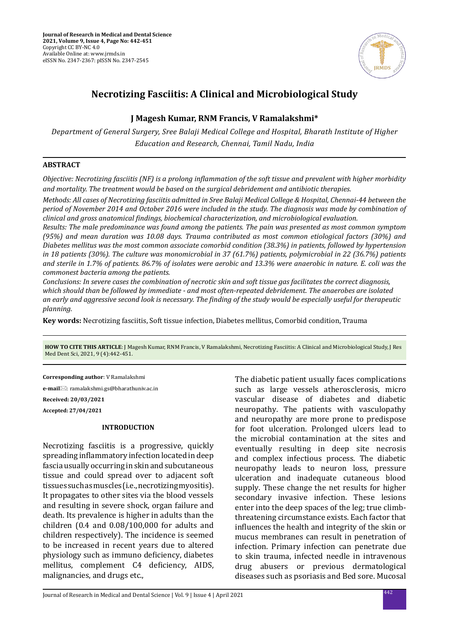

# **Necrotizing Fasciitis: A Clinical and Microbiological Study**

# **J Magesh Kumar, RNM Francis, V Ramalakshmi\***

*Department of General Surgery, Sree Balaji Medical College and Hospital, Bharath Institute of Higher Education and Research, Chennai, Tamil Nadu, India*

### **ABSTRACT**

*Objective: Necrotizing fasciitis (NF) is a prolong inflammation of the soft tissue and prevalent with higher morbidity and mortality. The treatment would be based on the surgical debridement and antibiotic therapies.* 

*Methods: All cases of Necrotizing fasciitis admitted in Sree Balaji Medical College & Hospital, Chennai-44 between the period of November 2014 and October 2016 were included in the study. The diagnosis was made by combination of clinical and gross anatomical findings, biochemical characterization, and microbiological evaluation.* 

*Results: The male predominance was found among the patients. The pain was presented as most common symptom (95%) and mean duration was 10.08 days. Trauma contributed as most common etiological factors (30%) and Diabetes mellitus was the most common associate comorbid condition (38.3%) in patients, followed by hypertension in 18 patients (30%). The culture was monomicrobial in 37 (61.7%) patients, polymicrobial in 22 (36.7%) patients and sterile in 1.7% of patients. 86.7% of isolates were aerobic and 13.3% were anaerobic in nature. E. coli was the commonest bacteria among the patients.* 

*Conclusions: In severe cases the combination of necrotic skin and soft tissue gas facilitates the correct diagnosis, which should than be followed by immediate - and most often-repeated debridement. The anaerobes are isolated an early and aggressive second look is necessary. The finding of the study would be especially useful for therapeutic planning.*

**Key words:** Necrotizing fasciitis, Soft tissue infection, Diabetes mellitus, Comorbid condition, Trauma

**HOW TO CITE THIS ARTICLE**: J Magesh Kumar, RNM Francis, V Ramalakshmi, Necrotizing Fasciitis: A Clinical and Microbiological Study, J Res Med Dent Sci, 2021, 9 (4):442-451.

**Corresponding author**: V Ramalakshmi

**e-mail**⊠: ramalakshmi.gs@bharathuniv.ac.in **Received: 20/03/2021 Accepted: 27/04/2021**

### **INTRODUCTION**

Necrotizing fasciitis is a progressive, quickly spreading inflammatory infection located in deep fascia usually occurring in skin and subcutaneous tissue and could spread over to adjacent soft tissues such as muscles (i.e., necrotizing myositis). It propagates to other sites via the blood vessels and resulting in severe shock, organ failure and death. Its prevalence is higher in adults than the children (0.4 and 0.08/100,000 for adults and children respectively). The incidence is seemed to be increased in recent years due to altered physiology such as immuno deficiency, diabetes mellitus, complement C4 deficiency, AIDS, malignancies, and drugs etc.,

The diabetic patient usually faces complications such as large vessels atherosclerosis, micro vascular disease of diabetes and diabetic neuropathy. The patients with vasculopathy and neuropathy are more prone to predispose for foot ulceration. Prolonged ulcers lead to the microbial contamination at the sites and eventually resulting in deep site necrosis and complex infectious process. The diabetic neuropathy leads to neuron loss, pressure ulceration and inadequate cutaneous blood supply. These change the net results for higher secondary invasive infection. These lesions enter into the deep spaces of the leg; true climbthreatening circumstance exists. Each factor that influences the health and integrity of the skin or mucus membranes can result in penetration of infection. Primary infection can penetrate due to skin trauma, infected needle in intravenous drug abusers or previous dermatological diseases such as psoriasis and Bed sore. Mucosal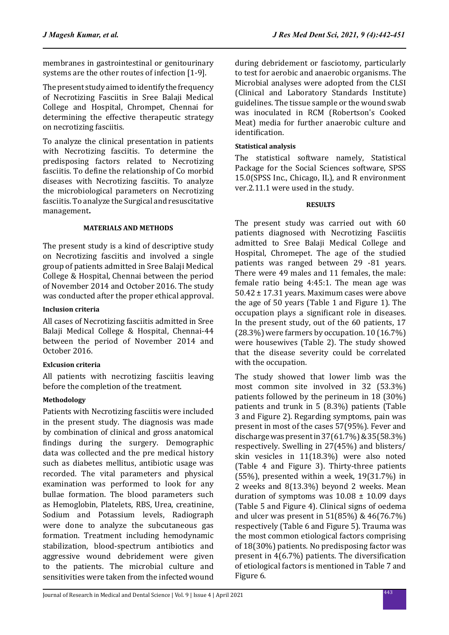membranes in gastrointestinal or genitourinary systems are the other routes of infection [1-9].

The present study aimed to identify the frequency of Necrotizing Fasciitis in Sree Balaji Medical College and Hospital, Chrompet, Chennai for determining the effective therapeutic strategy on necrotizing fasciitis.

To analyze the clinical presentation in patients with Necrotizing fasciitis. To determine the predisposing factors related to Necrotizing fasciitis. To define the relationship of Co morbid diseases with Necrotizing fasciitis. To analyze the microbiological parameters on Necrotizing fasciitis. To analyze the Surgical and resuscitative management**.**

# **MATERIALS AND METHODS**

The present study is a kind of descriptive study on Necrotizing fasciitis and involved a single group of patients admitted in Sree Balaji Medical College & Hospital, Chennai between the period of November 2014 and October 2016. The study was conducted after the proper ethical approval.

### **Inclusion criteria**

All cases of Necrotizing fasciitis admitted in Sree Balaji Medical College & Hospital, Chennai-44 between the period of November 2014 and October 2016.

# **Exlcusion criteria**

All patients with necrotizing fasciitis leaving before the completion of the treatment.

# **Methodology**

Patients with Necrotizing fasciitis were included in the present study. The diagnosis was made by combination of clinical and gross anatomical findings during the surgery. Demographic data was collected and the pre medical history such as diabetes mellitus, antibiotic usage was recorded. The vital parameters and physical examination was performed to look for any bullae formation. The blood parameters such as Hemoglobin, Platelets, RBS, Urea, creatinine, Sodium and Potassium levels, Radiograph were done to analyze the subcutaneous gas formation. Treatment including hemodynamic stabilization, blood-spectrum antibiotics and aggressive wound debridement were given to the patients. The microbial culture and sensitivities were taken from the infected wound during debridement or fasciotomy, particularly to test for aerobic and anaerobic organisms. The Microbial analyses were adopted from the CLSI (Clinical and Laboratory Standards Institute) guidelines. The tissue sample or the wound swab was inoculated in RCM (Robertson's Cooked Meat) media for further anaerobic culture and identification.

## **Statistical analysis**

The statistical software namely, Statistical Package for the Social Sciences software, SPSS 15.0(SPSS Inc., Chicago, IL), and R environment ver.2.11.1 were used in the study.

### **RESULTS**

The present study was carried out with 60 patients diagnosed with Necrotizing Fasciitis admitted to Sree Balaji Medical College and Hospital, Chromepet. The age of the studied patients was ranged between 29 -81 years. There were 49 males and 11 females, the male: female ratio being 4:45:1. The mean age was 50.42 ± 17.31 years. Maximum cases were above the age of 50 years (Table 1 and Figure 1). The occupation plays a significant role in diseases. In the present study, out of the 60 patients, 17 (28.3%) were farmers by occupation. 10 (16.7%) were housewives (Table 2). The study showed that the disease severity could be correlated with the occupation.

The study showed that lower limb was the most common site involved in 32 (53.3%) patients followed by the perineum in 18 (30%) patients and trunk in 5 (8.3%) patients (Table 3 and Figure 2). Regarding symptoms, pain was present in most of the cases 57(95%). Fever and discharge was present in 37(61.7%) & 35(58.3%) respectively. Swelling in 27(45%) and blisters/ skin vesicles in 11(18.3%) were also noted (Table 4 and Figure 3). Thirty-three patients  $(55%)$ , presented within a week,  $19(31.7%)$  in 2 weeks and 8(13.3%) beyond 2 weeks. Mean duration of symptoms was  $10.08 \pm 10.09$  days (Table 5 and Figure 4). Clinical signs of oedema and ulcer was present in 51(85%) & 46(76.7%) respectively (Table 6 and Figure 5). Trauma was the most common etiological factors comprising of 18(30%) patients. No predisposing factor was present in 4(6.7%) patients. The diversification of etiological factors is mentioned in Table 7 and Figure 6.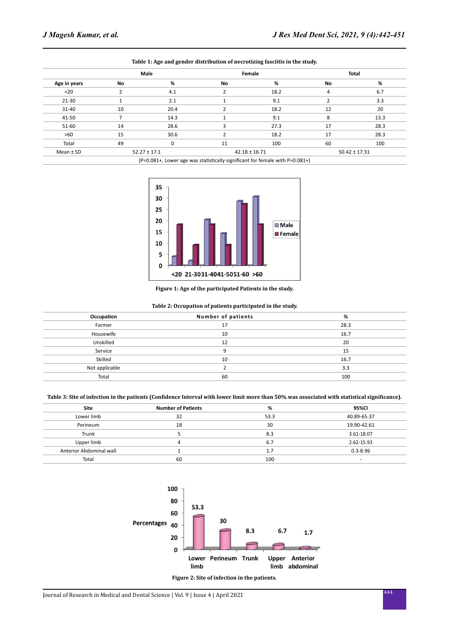|               |    | Male                                                                             | Female |                   | <b>Total</b> |                   |
|---------------|----|----------------------------------------------------------------------------------|--------|-------------------|--------------|-------------------|
| Age in years  | No | %                                                                                | No     | %                 | No           | %                 |
| $20$          |    | 4.1                                                                              |        | 18.2              | 4            | 6.7               |
| $21 - 30$     |    | 2.1                                                                              |        | 9.1               |              | 3.3               |
| 31-40         | 10 | 20.4                                                                             |        | 18.2              | 12           | 20                |
| 41-50         |    | 14.3                                                                             |        | 9.1               | 8            | 13.3              |
| 51-60         | 14 | 28.6                                                                             |        | 27.3              | 17           | 28.3              |
| >60           | 15 | 30.6                                                                             |        | 18.2              | 17           | 28.3              |
| Total         | 49 | 0                                                                                | 11     | 100               | 60           | 100               |
| Mean $\pm$ SD |    | $52.27 \pm 17.1$                                                                 |        | $42.18 \pm 16.71$ |              | $50.42 \pm 17.31$ |
|               |    | $(p=0.081+1)$ ower age was statistically significant for female with $p=0.081+1$ |        |                   |              |                   |



(P=0.081+, Lower age was statistically significant for female with P=0.081+)



#### **Figure 1: Age of the participated Patients in the study.**

#### **Table 2: Occupation of patients participated in the study.**

| Occupation     | Number of patients | %    |
|----------------|--------------------|------|
| Farmer         | 17                 | 28.3 |
| Housewife      | 10                 | 16.7 |
| Unskilled      | 12                 | 20   |
| Service        | 9                  | 15   |
| Skilled        | 10                 | 16.7 |
| Not applicable |                    | 3.3  |
| Total          | 60                 | 100  |

#### **Table 3: Site of infection in the patients (Confidence Interval with lower limit more than 50% was associated with statistical significance).**

| <b>Site</b>             | <b>Number of Patients</b> | %    | 95%CI                    |
|-------------------------|---------------------------|------|--------------------------|
| Lower limb              | 32                        | 53.3 | 40.89-65.37              |
| Perineum                | 18                        | 30   | 19.90-42.61              |
| Trunk                   |                           | 8.3  | 3.61-18.07               |
| Upper limb              | 4                         | 6.7  | 2.62-15.93               |
| Anterior Abdominal wall |                           | 1.7  | $0.3 - 8.96$             |
| Total                   | 60                        | 100  | $\overline{\phantom{a}}$ |



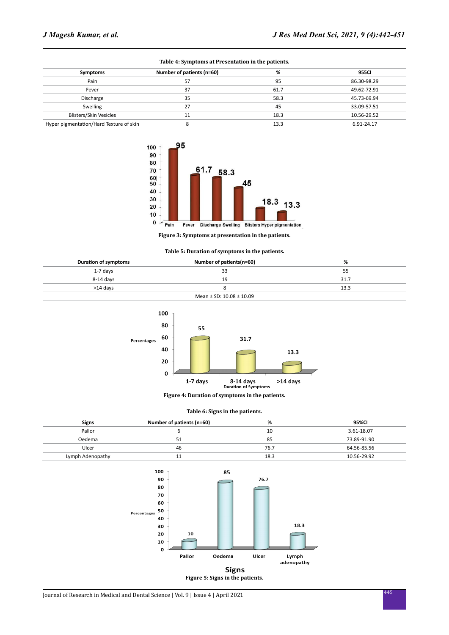| Table +. Symptoms at Fresentation in the patients. |                           |      |             |  |  |
|----------------------------------------------------|---------------------------|------|-------------|--|--|
| Symptoms                                           | Number of patients (n=60) | %    | 955CI       |  |  |
| Pain                                               | 57                        | 95   | 86.30-98.29 |  |  |
| Fever                                              | 37                        | 61.7 | 49.62-72.91 |  |  |
| Discharge                                          | 35                        | 58.3 | 45.73-69.94 |  |  |
| Swelling                                           | 27                        | 45   | 33.09-57.51 |  |  |
| <b>Blisters/Skin Vesicles</b>                      |                           | 18.3 | 10.56-29.52 |  |  |
| Hyper pigmentation/Hard Texture of skin            |                           | 13.3 | 6.91-24.17  |  |  |





**Figure 3: Symptoms at presentation in the patients.**

| Table 5: Duration of symptoms in the patients. |  |
|------------------------------------------------|--|
|------------------------------------------------|--|

| <b>Duration of symptoms</b>      | Number of patients(n=60) | %    |  |  |
|----------------------------------|--------------------------|------|--|--|
| 1-7 davs                         | 33                       | 55   |  |  |
| 8-14 davs                        | 19                       | 31.7 |  |  |
| >14 davs                         |                          | 13.3 |  |  |
| Mean $\pm$ SD: 10.08 $\pm$ 10.09 |                          |      |  |  |



**Figure 4: Duration of symptoms in the patients.**

|  |  |  |  | Table 6: Signs in the patients. |
|--|--|--|--|---------------------------------|
|--|--|--|--|---------------------------------|

| <b>Signs</b>     | Number of patients (n=60) | %    | 95%CI       |
|------------------|---------------------------|------|-------------|
| Pallor           |                           | 10   | 3.61-18.07  |
| Oedema           | 51                        | 85   | 73.89-91.90 |
| Ulcer            | 46                        | 76.7 | 64.56-85.56 |
| Lymph Adenopathy | 11                        | 18.3 | 10.56-29.92 |

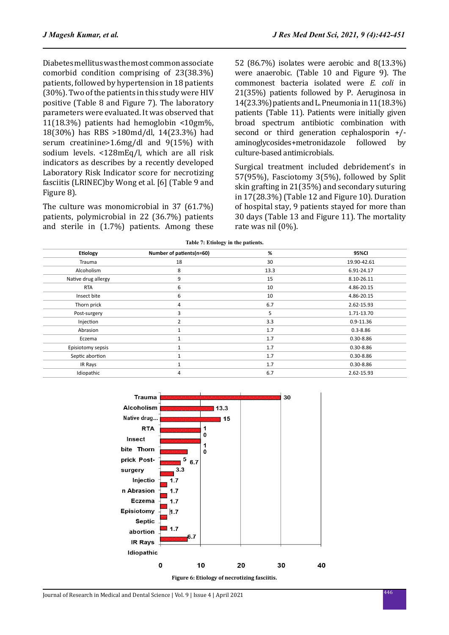Diabetes mellitus was the most common associate comorbid condition comprising of 23(38.3%) patients, followed by hypertension in 18 patients (30%). Two of the patients in this study were HIV positive (Table 8 and Figure 7). The laboratory parameters were evaluated. It was observed that 11(18.3%) patients had hemoglobin <10gm%, 18(30%) has RBS >180md/dl, 14(23.3%) had serum creatinine>1.6mg/dl and 9(15%) with sodium levels. <128mEq/l, which are all risk indicators as describes by a recently developed Laboratory Risk Indicator score for necrotizing fasciitis (LRINEC)by Wong et al. [6] (Table 9 and Figure 8).

The culture was monomicrobial in 37 (61.7%) patients, polymicrobial in 22 (36.7%) patients and sterile in (1.7%) patients. Among these 52 (86.7%) isolates were aerobic and 8(13.3%) were anaerobic. (Table 10 and Figure 9). The commonest bacteria isolated were *E. coli* in 21(35%) patients followed by P. Aeruginosa in 14(23.3%) patients and L. Pneumonia in 11(18.3%) patients (Table 11). Patients were initially given broad spectrum antibiotic combination with second or third generation cephalosporin +/-<br>aminoglycosides+metronidazole followed by aminoglycosides+metronidazole culture-based antimicrobials.

Surgical treatment included debridement's in 57(95%), Fasciotomy 3(5%), followed by Split skin grafting in 21(35%) and secondary suturing in 17(28.3%) (Table 12 and Figure 10). Duration of hospital stay, 9 patients stayed for more than 30 days (Table 13 and Figure 11). The mortality rate was nil (0%).

| Etiology            | Number of patients(n=60) | %    | 95%CI         |
|---------------------|--------------------------|------|---------------|
| Trauma              | 18                       | 30   | 19.90-42.61   |
| Alcoholism          | 8                        | 13.3 | 6.91-24.17    |
| Native drug allergy | 9                        | 15   | 8.10-26.11    |
| <b>RTA</b>          | 6                        | 10   | 4.86-20.15    |
| Insect bite         | 6                        | 10   | 4.86-20.15    |
| Thorn prick         | 4                        | 6.7  | 2.62-15.93    |
| Post-surgery        | 3                        | 5    | 1.71-13.70    |
| Injection           | 2                        | 3.3  | $0.9 - 11.36$ |
| Abrasion            |                          | 1.7  | $0.3 - 8.86$  |
| Eczema              | $\mathbf{1}$             | 1.7  | $0.30 - 8.86$ |
| Episiotomy sepsis   |                          | 1.7  | $0.30 - 8.86$ |
| Septic abortion     |                          | 1.7  | $0.30 - 8.86$ |
| IR Rays             |                          | 1.7  | $0.30 - 8.86$ |
| Idiopathic          | 4                        | 6.7  | 2.62-15.93    |

**Table 7: Etiology in the patients.**



**Figure 6: Etiology of necrotizing fasciitis.**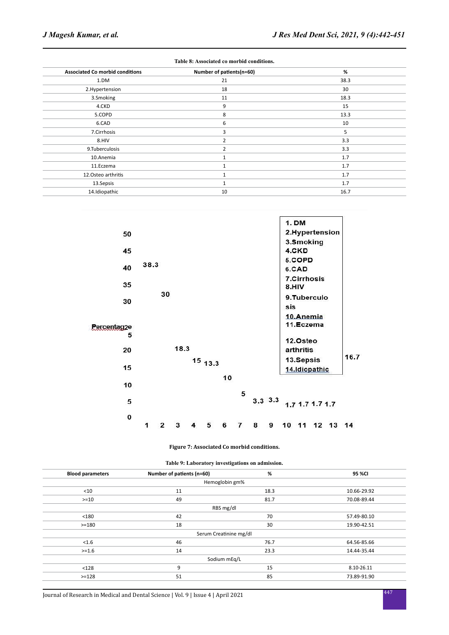| Table 8: Associated co morbid conditions. |                          |      |  |  |  |
|-------------------------------------------|--------------------------|------|--|--|--|
| <b>Associated Co morbid conditions</b>    | Number of patients(n=60) | %    |  |  |  |
| 1.DM                                      | 21                       | 38.3 |  |  |  |
| 2.Hypertension                            | 18                       | 30   |  |  |  |
| 3.Smoking                                 | 11                       | 18.3 |  |  |  |
| 4.CKD                                     | 9                        | 15   |  |  |  |
| 5.COPD                                    | 8                        | 13.3 |  |  |  |
| 6.CAD                                     | 6                        | 10   |  |  |  |
| 7.Cirrhosis                               | 3                        | 5    |  |  |  |
| 8.HIV                                     | 2                        | 3.3  |  |  |  |
| 9.Tuberculosis                            | $\overline{2}$           | 3.3  |  |  |  |
| 10.Anemia                                 | 1                        | 1.7  |  |  |  |
| 11.Eczema                                 | 1                        | 1.7  |  |  |  |
| 12. Osteo arthritis                       | 1                        | 1.7  |  |  |  |
| 13.Sepsis                                 | $\mathbf{1}$             | 1.7  |  |  |  |
| 14.Idiopathic                             | 10                       | 16.7 |  |  |  |



#### **Figure 7: Associated Co morbid conditions.**

|  |  | Table 9: Laboratory investigations on admission. |  |  |
|--|--|--------------------------------------------------|--|--|
|--|--|--------------------------------------------------|--|--|

| <b>Blood parameters</b> | Number of patients (n=60) | %    | 95 %CI      |
|-------------------------|---------------------------|------|-------------|
|                         | Hemoglobin gm%            |      |             |
| $<$ 10                  | 11                        | 18.3 | 10.66-29.92 |
| $>=10$                  | 49                        | 81.7 | 70.08-89.44 |
|                         | RBS mg/dl                 |      |             |
| < 180                   | 42                        | 70   | 57.49-80.10 |
| $>=180$                 | 18                        | 30   | 19.90-42.51 |
|                         | Serum Creatinine mg/dl    |      |             |
| < 1.6                   | 46                        | 76.7 | 64.56-85.66 |
| $>=1.6$                 | 14                        | 23.3 | 14.44-35.44 |
|                         | Sodium mEq/L              |      |             |
| < 128                   | 9                         | 15   | 8.10-26.11  |
| $>=128$                 | 51                        | 85   | 73.89-91.90 |
|                         |                           |      |             |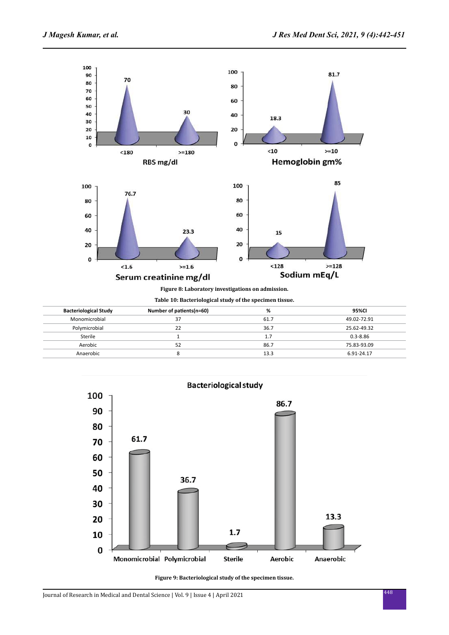

**Table 10: Bacteriological study of the specimen tissue.**

| <b>Bacteriological Study</b> | Number of patients(n=60) | %    | 95%CI        |  |
|------------------------------|--------------------------|------|--------------|--|
| Monomicrobial                | 37                       | 61.7 | 49.02-72.91  |  |
| Polymicrobial                | 22                       | 36.7 | 25.62-49.32  |  |
| Sterile                      |                          | 1.7  | $0.3 - 8.86$ |  |
| Aerobic                      | 52                       | 86.7 | 75.83-93.09  |  |
| Anaerobic                    |                          | 13.3 | 6.91-24.17   |  |
|                              |                          |      |              |  |



**Figure 9: Bacteriological study of the specimen tissue.**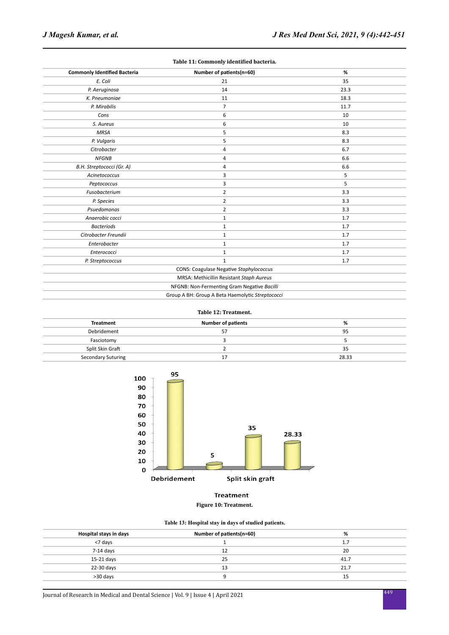| Table 11: Commonly identified bacteria. |                                                  |      |  |  |
|-----------------------------------------|--------------------------------------------------|------|--|--|
| <b>Commonly Identified Bacteria</b>     | Number of patients(n=60)                         | %    |  |  |
| E. Coli                                 | 21                                               | 35   |  |  |
| P. Aeruginosa                           | 14                                               | 23.3 |  |  |
| K. Pneumoniae                           | 11                                               | 18.3 |  |  |
| P. Mirabilis                            | $\overline{7}$                                   | 11.7 |  |  |
| Cons                                    | 6                                                | 10   |  |  |
| S. Aureus                               | 6                                                | 10   |  |  |
| <b>MRSA</b>                             | 5                                                | 8.3  |  |  |
| P. Vulgaris                             | 5                                                | 8.3  |  |  |
| Citrobacter                             | 4                                                | 6.7  |  |  |
| <b>NFGNB</b>                            | 4                                                | 6.6  |  |  |
| B.H. Streptococci (Gr. A)               | 4                                                | 6.6  |  |  |
| Acinetococcus                           | 3                                                | 5    |  |  |
| Peptococcus                             | 3                                                | 5    |  |  |
| Fusobacterium                           | $\overline{2}$                                   | 3.3  |  |  |
| P. Species                              | $\overline{2}$                                   | 3.3  |  |  |
| Psuedomonas                             | $\overline{2}$                                   | 3.3  |  |  |
| Anaerobic cocci                         | $\mathbf{1}$                                     | 1.7  |  |  |
| <b>Bacteriods</b>                       | $\mathbf{1}$                                     | 1.7  |  |  |
| Citrobacter Freundii                    | $\mathbf{1}$                                     | 1.7  |  |  |
| Enterobacter                            | $\mathbf{1}$                                     | 1.7  |  |  |
| Enterococci                             | 1                                                | 1.7  |  |  |
| P. Streptococcus                        | $\mathbf{1}$                                     | 1.7  |  |  |
|                                         | <b>CONS: Coagulase Negative Staphylococcus</b>   |      |  |  |
|                                         | MRSA: Methicillin Resistant Staph Aureus         |      |  |  |
|                                         | NFGNB: Non-Fermenting Gram Negative Bacilli      |      |  |  |
|                                         | Group A BH: Group A Beta Haemolytic Streptococci |      |  |  |

### **Table 12: Treatment.**

| Treatment                 | <b>Number of patients</b> | %     |
|---------------------------|---------------------------|-------|
| Debridement               |                           | 95    |
| Fasciotomy                |                           |       |
| Split Skin Graft          |                           | 35    |
| <b>Secondary Suturing</b> |                           | 28.33 |



# **Treatment**

### **Figure 10: Treatment.**

### **Table 13: Hospital stay in days of studied patients.**

| Hospital stays in days | Number of patients(n=60) | %    |
|------------------------|--------------------------|------|
| <7 days                |                          | 1.7  |
| $7-14$ days            | 12                       | 20   |
| 15-21 days             | 25                       | 41.7 |
| 22-30 days             | 13                       | 21.7 |
| >30 days               |                          | 15   |
|                        |                          |      |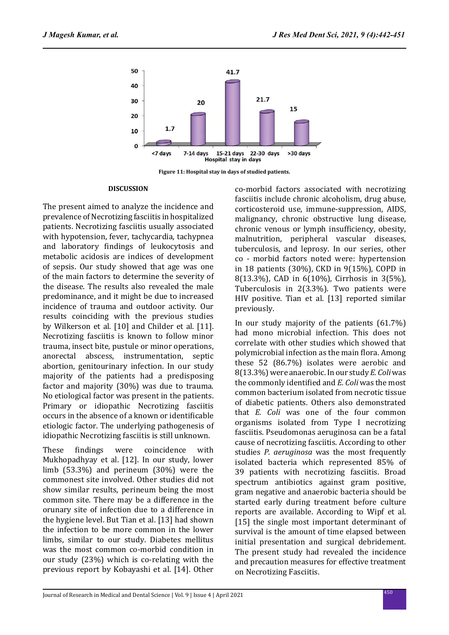

**Figure 11: Hospital stay in days of studied patients.**

### **DISCUSSION**

The present aimed to analyze the incidence and prevalence of Necrotizing fasciitis in hospitalized patients. Necrotizing fasciitis usually associated with hypotension, fever, tachycardia, tachypnea and laboratory findings of leukocytosis and metabolic acidosis are indices of development of sepsis. Our study showed that age was one of the main factors to determine the severity of the disease. The results also revealed the male predominance, and it might be due to increased incidence of trauma and outdoor activity. Our results coinciding with the previous studies by Wilkerson et al. [10] and Childer et al. [11]. Necrotizing fasciitis is known to follow minor trauma, insect bite, pustule or minor operations, anorectal abscess, instrumentation, septic abortion, genitourinary infection. In our study majority of the patients had a predisposing factor and majority (30%) was due to trauma. No etiological factor was present in the patients. Primary or idiopathic Necrotizing fasciitis occurs in the absence of a known or identificable etiologic factor. The underlying pathogenesis of idiopathic Necrotizing fasciitis is still unknown.

These findings were coincidence with Mukhopadhyay et al. [12]. In our study, lower limb (53.3%) and perineum (30%) were the commonest site involved. Other studies did not show similar results, perineum being the most common site. There may be a difference in the orunary site of infection due to a difference in the hygiene level. But Tian et al. [13] had shown the infection to be more common in the lower limbs, similar to our study. Diabetes mellitus was the most common co-morbid condition in our study (23%) which is co-relating with the previous report by Kobayashi et al. [14]. Other co-morbid factors associated with necrotizing fasciitis include chronic alcoholism, drug abuse, corticosteroid use, immune-suppression, AIDS, malignancy, chronic obstructive lung disease, chronic venous or lymph insufficiency, obesity, malnutrition, peripheral vascular diseases, tuberculosis, and leprosy. In our series, other co - morbid factors noted were: hypertension in 18 patients (30%), CKD in 9(15%), COPD in 8(13.3%), CAD in 6(10%), Cirrhosis in 3(5%), Tuberculosis in 2(3.3%). Two patients were HIV positive. Tian et al. [13] reported similar previously.

In our study majority of the patients (61.7%) had mono microbial infection. This does not correlate with other studies which showed that polymicrobial infection as the main flora. Among these 52 (86.7%) isolates were aerobic and 8(13.3%) were anaerobic. In our study *E. Coli* was the commonly identified and *E. Coli* was the most common bacterium isolated from necrotic tissue of diabetic patients. Others also demonstrated that *E. Coli* was one of the four common organisms isolated from Type I necrotizing fasciitis. Pseudomonas aeruginosa can be a fatal cause of necrotizing fasciitis. According to other studies *P. aeruginosa* was the most frequently isolated bacteria which represented 85% of 39 patients with necrotizing fasciitis. Broad spectrum antibiotics against gram positive, gram negative and anaerobic bacteria should be started early during treatment before culture reports are available. According to Wipf et al. [15] the single most important determinant of survival is the amount of time elapsed between initial presentation and surgical debridement. The present study had revealed the incidence and precaution measures for effective treatment on Necrotizing Fasciitis.